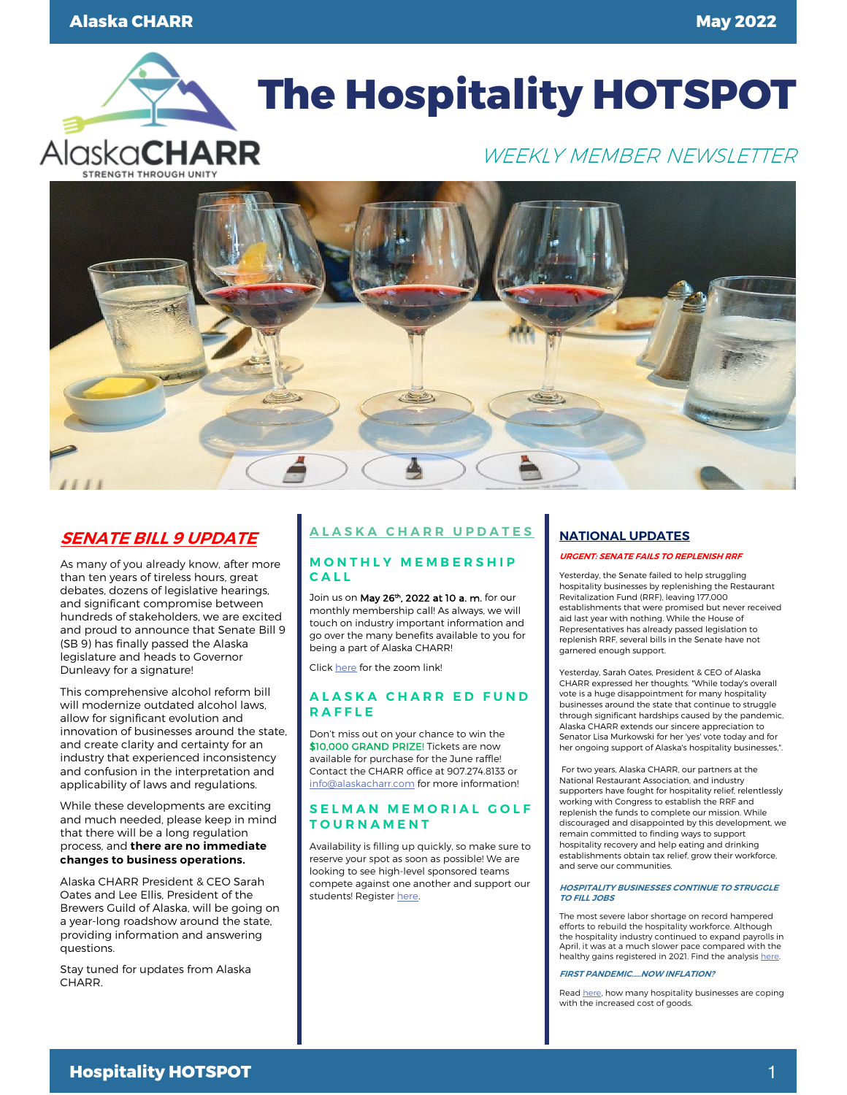

# **The Hospitality HOTSPOT**

# WEEKLY MEMBER NEWSLETTER



## **SENATE BILL 9 UPDATE**

As many of you already know, after more than ten years of tireless hours, great debates, dozens of legislative hearings, and significant compromise between hundreds of stakeholders, we are excited and proud to announce that Senate Bill 9 (SB 9) has finally passed the Alaska legislature and heads to Governor Dunleavy for a signature!

This comprehensive alcohol reform bill will modernize outdated alcohol laws, allow for significant evolution and innovation of businesses around the state, and create clarity and certainty for an industry that experienced inconsistency and confusion in the interpretation and applicability of laws and regulations.

While these developments are exciting and much needed, please keep in mind that there will be a long regulation process, and **there are no immediate changes to business operations.** 

Alaska CHARR President & CEO Sarah Oates and Lee Ellis, President of the Brewers Guild of Alaska, will be going on a year-long roadshow around the state, providing information and answering questions.

Stay tuned for updates from Alaska CHARR.

# **ALASKA CHARR UPDATES**

### **MONTHLY MEMBERSHIP CALL**

Join us on May 26<sup>th</sup>, 2022 at 10 a. m. for our monthly membership call! As always, we will touch on industry important information and go over the many benefits available to you for being a part of Alaska CHARR!

Clic[k here](https://us02web.zoom.us/j/86136972532) for the zoom link!

### **ALASKA CHARR ED FUND RAFFLE**

Don't miss out on your chance to win the \$10,000 GRAND PRIZE! Tickets are now available for purchase for the June raffle! Contact the CHARR office at 907.274.8133 or [info@alaskacharr.com](mailto:info@alaskacharr.com) for more information!

## **SELMAN MEMORIAL GOLF TOURNAMENT**

Availability is filling up quickly, so make sure to reserve your spot as soon as possible! We are looking to see high-level sponsored teams compete against one another and support our students! Register here.

## **NATIONAL UPDATES**

#### **URGENT: SENATE FAILS TO REPLENISH RRF**

Yesterday, the Senate failed to help struggling hospitality businesses by replenishing the Restaurant Revitalization Fund (RRF), leaving 177,000 establishments that were promised but never received aid last year with nothing. While the House of Representatives has already passed legislation to replenish RRF, several bills in the Senate have not garnered enough support.

Yesterday, Sarah Oates, President & CEO of Alaska CHARR expressed her thoughts. "While today's overall vote is a huge disappointment for many hospitality businesses around the state that continue to struggle through significant hardships caused by the pandemic, Alaska CHARR extends our sincere appreciation to Senator Lisa Murkowski for her 'yes' vote today and for her ongoing support of Alaska's hospitality businesses,".

For two years, Alaska CHARR, our partners at the National Restaurant Association, and industry supporters have fought for hospitality relief, relentlessly working with Congress to establish the RRF and replenish the funds to complete our mission. While discouraged and disappointed by this development, we remain committed to finding ways to support hospitality recovery and help eating and drinking establishments obtain tax relief, grow their workforce, and serve our communities.

#### **HOSPITALITY BUSINESSES CONTINUE TO STRUGGLE TO FILL JOBS**

The most severe labor shortage on record hampered efforts to rebuild the hospitality workforce. Although the hospitality industry continued to expand payrolls in April, it was at a much slower pace compared with the healthy gains registered in 2021. Find the analysis [here.](https://email.restaurant.org/MDc4LVpMQS00NjEAAAGEWOOhz8LAdj_KarGoYx5W1s_glAoIn-L3jVk-z7xzNRsbhF9tVISpgENONpxRiMaxxUP3LPY=)

#### **FIRST PANDEMIC…..NOW INFLATION?**

Rea[d here,](https://www.npr.org/2022/05/11/1096975182/restaurants-pandemic-inflation-food-prices) how many hospitality businesses are coping with the increased cost of goods.